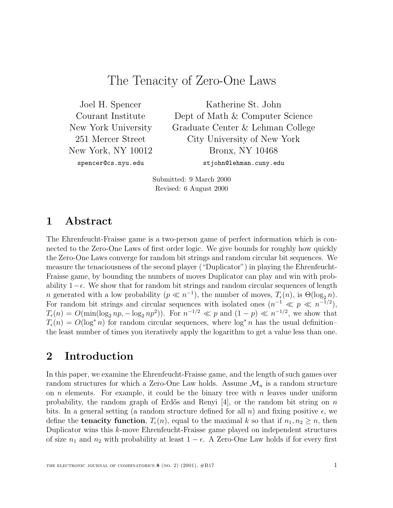# The Tenacity of Zero-One Laws

Joel H. Spencer Courant Institute New York University 251 Mercer Street New York, NY 10012 spencer@cs.nyu.edu

Katherine St. John Dept of Math & Computer Science Graduate Center & Lehman College City University of New York Bronx, NY 10468 stjohn@lehman.cuny.edu

Submitted: 9 March 2000 Revised: 6 August 2000

# **1 Abstract**

The Ehrenfeucht-Fraisse game is a two-person game of perfect information which is connected to the Zero-One Laws of first order logic. We give bounds for roughly how quickly the Zero-One Laws converge for random bit strings and random circular bit sequences. We measure the tenaciousness of the second player ("Duplicator") in playing the Ehrenfeucht-Fraisse game, by bounding the numbers of moves Duplicator can play and win with probability  $1-\epsilon$ . We show that for random bit strings and random circular sequences of length n generated with a low probability ( $p \ll n^{-1}$ ), the number of moves,  $T_{\epsilon}(n)$ , is  $\Theta(\log_2 n)$ . For random bit strings and circular sequences with isolated ones  $(n^{-1} \ll p \ll n^{-1/2}),$  $T_{\epsilon}(n) = O(\min(\log_2 np, -\log_2 np^2)).$  For  $n^{-1/2} \ll p$  and  $(1-p) \ll n^{-1/2}$ , we show that  $T_{\epsilon}(n) = O(\log^* n)$  for random circular sequences, where  $\log^* n$  has the usual definitionthe least number of times you iteratively apply the logarithm to get a value less than one.

# **2 Introduction**

In this paper, we examine the Ehrenfeucht-Fraisse game, and the length of such games over random structures for which a Zero-One Law holds. Assume  $\mathcal{M}_n$  is a random structure on n elements. For example, it could be the binary tree with n leaves under uniform probability, the random graph of Erdős and Renyi [4], or the random bit string on n bits. In a general setting (a random structure defined for all n) and fixing positive  $\epsilon$ , we define the **tenacity function**,  $T_{\epsilon}(n)$ , equal to the maximal k so that if  $n_1, n_2 \geq n$ , then Duplicator wins this k-move Ehrenfeucht-Fraisse game played on independent structures of size  $n_1$  and  $n_2$  with probability at least  $1 - \epsilon$ . A Zero-One Law holds if for every first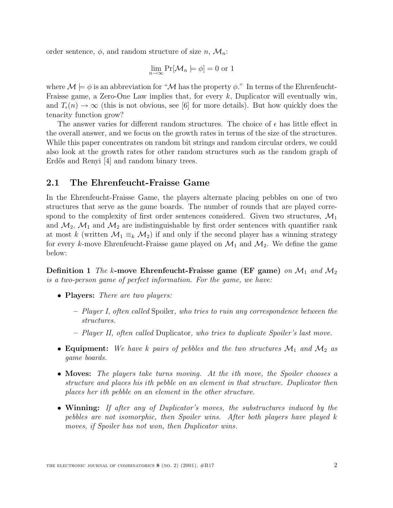order sentence,  $\phi$ , and random structure of size n,  $\mathcal{M}_n$ :

$$
\lim_{n \to \infty} \Pr[\mathcal{M}_n \models \phi] = 0 \text{ or } 1
$$

where  $\mathcal{M} \models \phi$  is an abbreviation for " $\mathcal M$  has the property  $\phi$ ." In terms of the Ehrenfeucht-Fraisse game, a Zero-One Law implies that, for every  $k$ , Duplicator will eventually win, and  $T_{\epsilon}(n) \to \infty$  (this is not obvious, see [6] for more details). But how quickly does the tenacity function grow?

The answer varies for different random structures. The choice of  $\epsilon$  has little effect in the overall answer, and we focus on the growth rates in terms of the size of the structures. While this paper concentrates on random bit strings and random circular orders, we could also look at the growth rates for other random structures such as the random graph of Erdős and Renyi [4] and random binary trees.

## **2.1 The Ehrenfeucht-Fraisse Game**

In the Ehrenfeucht-Fraisse Game, the players alternate placing pebbles on one of two structures that serve as the game boards. The number of rounds that are played correspond to the complexity of first order sentences considered. Given two structures,  $\mathcal{M}_1$ and  $\mathcal{M}_2$ ,  $\mathcal{M}_1$  and  $\mathcal{M}_2$  are indistinguishable by first order sentences with quantifier rank at most k (written  $\mathcal{M}_1 \equiv_k \mathcal{M}_2$ ) if and only if the second player has a winning strategy for every k-move Ehrenfeucht-Fraisse game played on  $\mathcal{M}_1$  and  $\mathcal{M}_2$ . We define the game below:

**Definition 1** The k-move Ehrenfeucht-Fraisse game (EF game) on  $\mathcal{M}_1$  and  $\mathcal{M}_2$ is a two-person game of perfect information. For the game, we have:

- **Players:** There are two players:
	- **–** Player I, often called Spoiler, who tries to ruin any correspondence between the structures.
	- **–** Player II, often called Duplicator, who tries to duplicate Spoiler's last move.
- **Equipment:** We have k pairs of pebbles and the two structures  $\mathcal{M}_1$  and  $\mathcal{M}_2$  as game boards.
- **Moves:** The players take turns moving. At the *i*th move, the Spoiler chooses a structure and places his ith pebble on an element in that structure. Duplicator then places her ith pebble on an element in the other structure.
- **Winning:** If after any of Duplicator's moves, the substructures induced by the pebbles are not isomorphic, then Spoiler wins. After both players have played k moves, if Spoiler has not won, then Duplicator wins.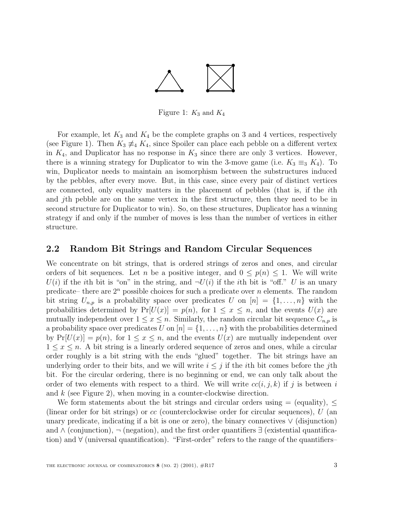

Figure 1:  $K_3$  and  $K_4$ 

For example, let  $K_3$  and  $K_4$  be the complete graphs on 3 and 4 vertices, respectively (see Figure 1). Then  $K_3 \neq K_4$ , since Spoiler can place each pebble on a different vertex in  $K_4$ , and Duplicator has no response in  $K_3$  since there are only 3 vertices. However, there is a winning strategy for Duplicator to win the 3-move game (i.e.  $K_3 \equiv_3 K_4$ ). To win, Duplicator needs to maintain an isomorphism between the substructures induced by the pebbles, after every move. But, in this case, since every pair of distinct vertices are connected, only equality matters in the placement of pebbles (that is, if the ith and jth pebble are on the same vertex in the first structure, then they need to be in second structure for Duplicator to win). So, on these structures, Duplicator has a winning strategy if and only if the number of moves is less than the number of vertices in either structure.

### **2.2 Random Bit Strings and Random Circular Sequences**

We concentrate on bit strings, that is ordered strings of zeros and ones, and circular orders of bit sequences. Let n be a positive integer, and  $0 \leq p(n) \leq 1$ . We will write  $U(i)$  if the ith bit is "on" in the string, and  $\neg U(i)$  if the ith bit is "off." U is an unary predicate– there are  $2^n$  possible choices for such a predicate over n elements. The random bit string  $U_{n,p}$  is a probability space over predicates U on  $[n] = \{1,\ldots,n\}$  with the probabilities determined by  $Pr[U(x)] = p(n)$ , for  $1 \leq x \leq n$ , and the events  $U(x)$  are mutually independent over  $1 \leq x \leq n$ . Similarly, the random circular bit sequence  $C_{n,p}$  is a probability space over predicates U on  $[n] = \{1, \ldots, n\}$  with the probabilities determined by  $Pr[U(x)] = p(n)$ , for  $1 \le x \le n$ , and the events  $U(x)$  are mutually independent over  $1 \leq x \leq n$ . A bit string is a linearly ordered sequence of zeros and ones, while a circular order roughly is a bit string with the ends "glued" together. The bit strings have an underlying order to their bits, and we will write  $i \leq j$  if the *i*th bit comes before the *j*th bit. For the circular ordering, there is no beginning or end, we can only talk about the order of two elements with respect to a third. We will write  $cc(i, j, k)$  if j is between i and  $k$  (see Figure 2), when moving in a counter-clockwise direction.

We form statements about the bit strings and circular orders using  $=$  (equality),  $\leq$ (linear order for bit strings) or  $cc$  (counterclockwise order for circular sequences),  $U$  (an unary predicate, indicating if a bit is one or zero), the binary connectives ∨ (disjunction) and ∧ (conjunction), ¬ (negation), and the first order quantifiers ∃ (existential quantification) and ∀ (universal quantification). "First-order" refers to the range of the quantifiers–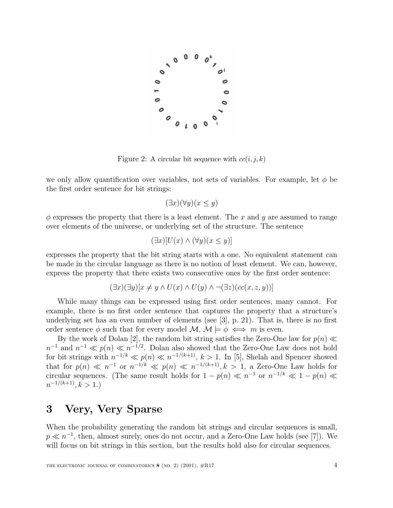

Figure 2: A circular bit sequence with  $cc(i, j, k)$ 

we only allow quantification over variables, not sets of variables. For example, let  $\phi$  be the first order sentence for bit strings:

$$
(\exists x)(\forall y)(x \le y)
$$

 $\phi$  expresses the property that there is a least element. The x and y are assumed to range over elements of the universe, or underlying set of the structure. The sentence

$$
(\exists x)[U(x) \land (\forall y)(x \le y)]
$$

expresses the property that the bit string starts with a one. No equivalent statement can be made in the circular language as there is no notion of least element. We can, however, express the property that there exists two consecutive ones by the first order sentence:

$$
(\exists x)(\exists y)[x \neq y \land U(x) \land U(y) \land \neg (\exists z)(cc(x, z, y))]
$$

While many things can be expressed using first order sentences, many cannot. For example, there is no first order sentence that captures the property that a structure's underlying set has an even number of elements (see [3], p. 21). That is, there is no first order sentence  $\phi$  such that for every model  $\mathcal{M}, \mathcal{M} \models \phi \iff m$  is even.

By the work of Dolan [2], the random bit string satisfies the Zero-One law for  $p(n) \ll$  $n^{-1}$  and  $n^{-1} \ll p(n) \ll n^{-1/2}$ . Dolan also showed that the Zero-One Law does not hold for bit strings with  $n^{-1/k} \ll p(n) \ll n^{-1/(k+1)}$ ,  $k > 1$ . In [5], Shelah and Spencer showed that for  $p(n) \ll n^{-1}$  or  $n^{-1/k} \ll p(n) \ll n^{-1/(k+1)}, k > 1$ , a Zero-One Law holds for circular sequences. (The same result holds for  $1 - p(n) \ll n^{-1}$  or  $n^{-1/k} \ll 1 - p(n) \ll 1$  $n^{-1/(k+1)}$ ,  $k > 1$ .)

# **3 Very, Very Sparse**

When the probability generating the random bit strings and circular sequences is small,  $p \ll n^{-1}$ , then, almost surely, ones do not occur, and a Zero-One Law holds (see [7]). We will focus on bit strings in this section, but the results hold also for circular sequences.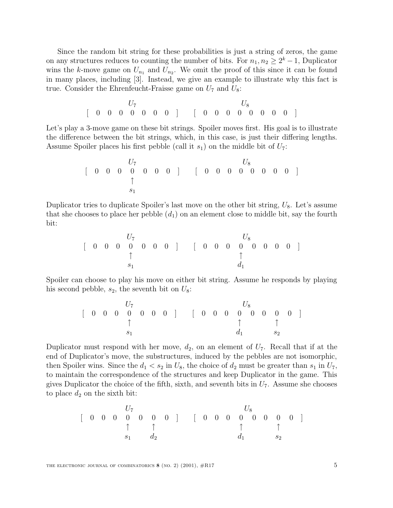Since the random bit string for these probabilities is just a string of zeros, the game on any structures reduces to counting the number of bits. For  $n_1, n_2 \geq 2^k - 1$ , Duplicator wins the k-move game on  $U_{n_1}$  and  $U_{n_2}$ . We omit the proof of this since it can be found in many places, including [3]. Instead, we give an example to illustrate why this fact is true. Consider the Ehrenfeucht-Fraisse game on  $U_7$  and  $U_8$ :

> $U_7$   $U_8$ [0000000] [00000000]

Let's play a 3-move game on these bit strings. Spoiler moves first. His goal is to illustrate the difference between the bit strings, which, in this case, is just their differing lengths. Assume Spoiler places his first pebble (call it  $s_1$ ) on the middle bit of  $U_7$ :

U<sup>7</sup> U<sup>8</sup> [000 0 000] ↑ s1 [00000000]

Duplicator tries to duplicate Spoiler's last move on the other bit string,  $U_8$ . Let's assume that she chooses to place her pebble  $(d_1)$  on an element close to middle bit, say the fourth bit:

$$
\left[\begin{array}{ccccccc} & & U_7 & & & & & U_8 \\ 0 & 0 & 0 & 0 & 0 & 0 & 0 & 0 \\ & & & \uparrow & & & \uparrow & & & \uparrow \\ & & & s_1 & & & & d_1 & & \end{array}\right]
$$

Spoiler can choose to play his move on either bit string. Assume he responds by playing his second pebble,  $s_2$ , the seventh bit on  $U_8$ :

$$
\left[\begin{array}{ccccccc} & & U_7 & & & & & U_8 \\ 0 & 0 & 0 & 0 & 0 & 0 & 0 \\ & & & \uparrow & & & \uparrow & & \uparrow \\ & & & s_1 & & & & d_1 & s_2 \end{array}\right]
$$

Duplicator must respond with her move,  $d_2$ , on an element of  $U_7$ . Recall that if at the end of Duplicator's move, the substructures, induced by the pebbles are not isomorphic, then Spoiler wins. Since the  $d_1 < s_2$  in  $U_8$ , the choice of  $d_2$  must be greater than  $s_1$  in  $U_7$ , to maintain the correspondence of the structures and keep Duplicator in the game. This gives Duplicator the choice of the fifth, sixth, and seventh bits in  $U_7$ . Assume she chooses to place  $d_2$  on the sixth bit:

$$
\left[\begin{array}{ccccccc} & & U_7 & & & & & U_8 \\ 0 & 0 & 0 & 0 & 0 & 0 & 0 \\ & & \uparrow & & \uparrow & & \uparrow & & \uparrow \\ & & s_1 & & d_2 & & & d_1 & & s_2 \end{array}\right]
$$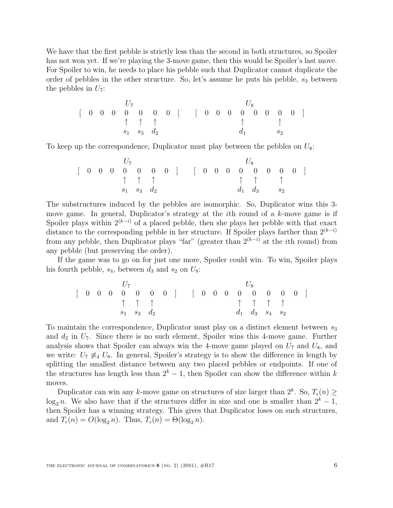We have that the first pebble is strictly less than the second in both structures, so Spoiler has not won yet. If we're playing the 3-move game, then this would be Spoiler's last move. For Spoiler to win, he needs to place his pebble such that Duplicator cannot duplicate the order of pebbles in the other structure. So, let's assume he puts his pebble,  $s_3$  between the pebbles in  $U_7$ :

$$
\left[\begin{array}{ccccccc} & & & U_7 & & & & & & U_8 \\ 0 & 0 & 0 & 0 & 0 & 0 & 0 & 0 \\ & & \uparrow & \uparrow & \uparrow & & & \uparrow & & \uparrow & & \uparrow \\ & & s_1 & s_3 & d_2 & & & & d_1 & & s_2 \end{array}\right]
$$

To keep up the correspondence, Duplicator must play between the pebbles on  $U_8$ :

$$
\left[\begin{array}{ccccccc} & & U_7 & & & & & U_8 \\ 0 & 0 & 0 & 0 & 0 & 0 & 0 \\ & & \uparrow & \uparrow & \uparrow & & & \uparrow & \uparrow & \uparrow \\ & & s_1 & s_3 & d_2 & & & & d_1 & d_3 & s_2 \end{array}\right]
$$

The substructures induced by the pebbles are isomorphic. So, Duplicator wins this 3 move game. In general, Duplicator's strategy at the  $i$ th round of a  $k$ -move game is if Spoiler plays within  $2^{(k-i)}$  of a placed pebble, then she plays her pebble with that exact distance to the corresponding pebble in her structure. If Spoiler plays farther than  $2^{(k-i)}$ from any pebble, then Duplicator plays "far" (greater than  $2^{(k-i)}$  at the *i*th round) from any pebble (but preserving the order).

If the game was to go on for just one more, Spoiler could win. To win, Spoiler plays his fourth pebble,  $s_4$ , between  $d_3$  and  $s_2$  on  $U_8$ :

$$
\left[\begin{array}{ccccccc} & & U_7 & & & & & U_8 \\ 0 & 0 & 0 & 0 & 0 & 0 & 0 \\ & & \uparrow & \uparrow & \uparrow & & & \uparrow & \uparrow & \uparrow & \uparrow \\ & & s_1 & s_3 & d_2 & & & & d_1 & d_3 & s_4 & s_2 \end{array}\right]
$$

To maintain the correspondence, Duplicator must play on a distinct element between  $s_3$ and  $d_2$  in  $U_7$ . Since there is no such element, Spoiler wins this 4-move game. Further analysis shows that Spoiler can always win the 4-move game played on  $U_7$  and  $U_8$ , and we write:  $U_7 \neq U_8$ . In general, Spoiler's strategy is to show the difference in length by splitting the smallest distance between any two placed pebbles or endpoints. If one of the structures has length less than  $2^k - 1$ , then Spoiler can show the difference within k moves.

Duplicator can win any k-move game on structures of size larger than  $2^k$ . So,  $T_e(n) \ge$ log<sub>2</sub> n. We also have that if the structures differ in size and one is smaller than  $2<sup>k</sup> - 1$ , then Spoiler has a winning strategy. This gives that Duplicator loses on such structures, and  $T_{\epsilon}(n) = O(\log_2 n)$ . Thus,  $T_{\epsilon}(n) = \Theta(\log_2 n)$ .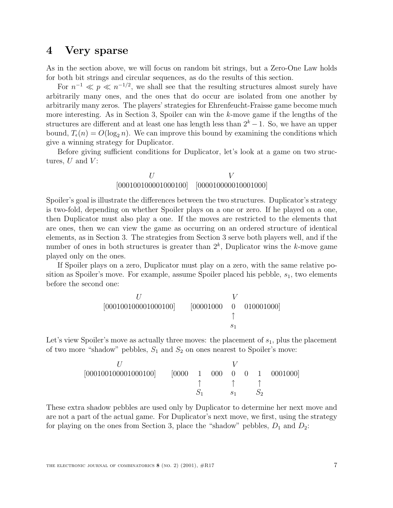# **4 Very sparse**

As in the section above, we will focus on random bit strings, but a Zero-One Law holds for both bit strings and circular sequences, as do the results of this section.

For  $n^{-1} \ll p \ll n^{-1/2}$ , we shall see that the resulting structures almost surely have arbitrarily many ones, and the ones that do occur are isolated from one another by arbitrarily many zeros. The players' strategies for Ehrenfeucht-Fraisse game become much more interesting. As in Section 3, Spoiler can win the  $k$ -move game if the lengths of the structures are different and at least one has length less than  $2<sup>k</sup> - 1$ . So, we have an upper bound,  $T_{\epsilon}(n) = O(\log_2 n)$ . We can improve this bound by examining the conditions which give a winning strategy for Duplicator.

Before giving sufficient conditions for Duplicator, let's look at a game on two structures,  $U$  and  $V$ :

## $U$   $V$ [000100100001000100] [000010000010001000]

Spoiler's goal is illustrate the differences between the two structures. Duplicator's strategy is two-fold, depending on whether Spoiler plays on a one or zero. If he played on a one, then Duplicator must also play a one. If the moves are restricted to the elements that are ones, then we can view the game as occurring on an ordered structure of identical elements, as in Section 3. The strategies from Section 3 serve both players well, and if the number of ones in both structures is greater than  $2^k$ , Duplicator wins the k-move game played only on the ones.

If Spoiler plays on a zero, Duplicator must play on a zero, with the same relative position as Spoiler's move. For example, assume Spoiler placed his pebble,  $s<sub>1</sub>$ , two elements before the second one:

$$
\begin{array}{ccc} & U & & V \\ [000100100001000100] & [00001000 & 0 & 010001000] \\ & & \uparrow & & \\ & s_1 & & \end{array}
$$

Let's view Spoiler's move as actually three moves: the placement of  $s_1$ , plus the placement of two more "shadow" pebbles,  $S_1$  and  $S_2$  on ones nearest to Spoiler's move:

$$
\begin{array}{ccccccccc} & & & & & V & & & \\ & & & & & & V & & & \\ \hline [0001001000010001000] & & & & & 1 & 000 & 0 & 1 & 0001000] & \\ & & & \uparrow & & \uparrow & & \uparrow & & \\ & & & S_1 & & S_1 & & S_2 & & \end{array}
$$

These extra shadow pebbles are used only by Duplicator to determine her next move and are not a part of the actual game. For Duplicator's next move, we first, using the strategy for playing on the ones from Section 3, place the "shadow" pebbles,  $D_1$  and  $D_2$ :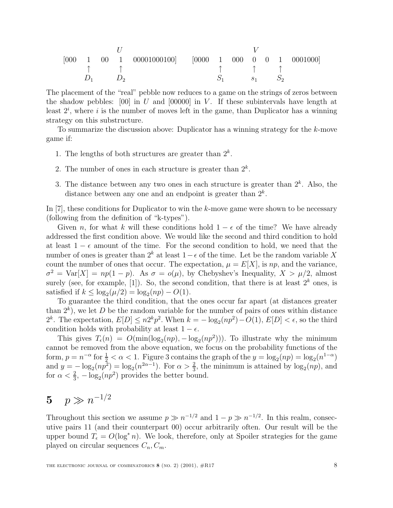$$
\begin{bmatrix} 000 & 1 & 00 & 1 & 00001000100 \\ \uparrow & \uparrow & \uparrow & \uparrow & \uparrow & \uparrow & \uparrow & \uparrow \\ D_1 & D_2 & & & S_1 & S_1 & S_2 \end{bmatrix}
$$

The placement of the "real" pebble now reduces to a game on the strings of zeros between the shadow pebbles:  $[00]$  in U and  $[00000]$  in V. If these subintervals have length at least  $2^i$ , where i is the number of moves left in the game, than Duplicator has a winning strategy on this substructure.

To summarize the discussion above: Duplicator has a winning strategy for the k-move game if:

- 1. The lengths of both structures are greater than  $2^k$ .
- 2. The number of ones in each structure is greater than  $2^k$ .
- 3. The distance between any two ones in each structure is greater than  $2<sup>k</sup>$ . Also, the distance between any one and an endpoint is greater than  $2^k$ .

In [7], these conditions for Duplicator to win the k-move game were shown to be necessary (following from the definition of "k-types").

Given n, for what k will these conditions hold  $1 - \epsilon$  of the time? We have already addressed the first condition above. We would like the second and third condition to hold at least  $1 - \epsilon$  amount of the time. For the second condition to hold, we need that the number of ones is greater than  $2^k$  at least  $1-\epsilon$  of the time. Let be the random variable X count the number of ones that occur. The expectation,  $\mu = E[X]$ , is np, and the variance,  $\sigma^2 = \text{Var}[X] = np(1-p)$ . As  $\sigma = o(\mu)$ , by Chebyshev's Inequality,  $X > \mu/2$ , almost surely (see, for example, [1]). So, the second condition, that there is at least  $2^k$  ones, is satisfied if  $k \leq \log_2(\mu/2) = \log_2(np) - O(1)$ .

To guarantee the third condition, that the ones occur far apart (at distances greater than  $2^k$ ), we let D be the random variable for the number of pairs of ones within distance  $2^k$ . The expectation,  $E[D] \leq n2^k p^2$ . When  $k = -\log_2(np^2) - O(1)$ ,  $E[D] < \epsilon$ , so the third condition holds with probability at least  $1 - \epsilon$ .

This gives  $T_{\epsilon}(n) = O(\min(\log_2(np), -\log_2(np^2)))$ . To illustrate why the minimum cannot be removed from the above equation, we focus on the probability functions of the form,  $p = n^{-\alpha}$  for  $\frac{1}{2} < \alpha < 1$ . Figure 3 contains the graph of the  $y = \log_2(np) = \log_2(n^{1-\alpha})$ and  $y = -\log_2(np^2) = \log_2(n^{2\alpha-1})$ . For  $\alpha > \frac{2}{3}$ , the minimum is attained by  $\log_2(np)$ , and for  $\alpha < \frac{2}{3}$ ,  $-\log_2(np^2)$  provides the better bound.

# **5**  $p \gg n^{-1/2}$

Throughout this section we assume  $p \gg n^{-1/2}$  and  $1 - p \gg n^{-1/2}$ . In this realm, consecutive pairs 11 (and their counterpart 00) occur arbitrarily often. Our result will be the upper bound  $T_{\epsilon} = O(\log^* n)$ . We look, therefore, only at Spoiler strategies for the game played on circular sequences  $C_n, C_m$ .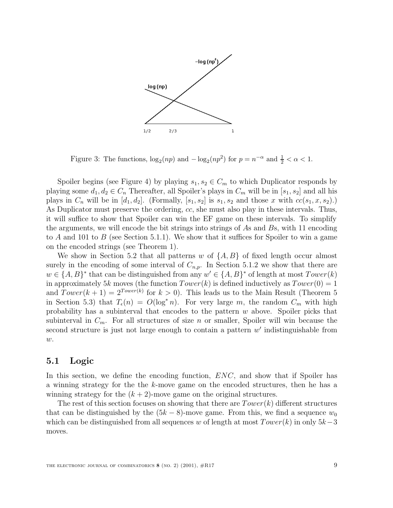

Figure 3: The functions,  $\log_2(np)$  and  $-\log_2(np^2)$  for  $p = n^{-\alpha}$  and  $\frac{1}{2} < \alpha < 1$ .

Spoiler begins (see Figure 4) by playing  $s_1, s_2 \in C_m$  to which Duplicator responds by playing some  $d_1, d_2 \in C_n$  Thereafter, all Spoiler's plays in  $C_m$  will be in  $[s_1, s_2]$  and all his plays in  $C_n$  will be in  $[d_1, d_2]$ . (Formally,  $[s_1, s_2]$  is  $s_1, s_2$  and those x with  $cc(s_1, x, s_2)$ .) As Duplicator must preserve the ordering, cc, she must also play in these intervals. Thus, it will suffice to show that Spoiler can win the EF game on these intervals. To simplify the arguments, we will encode the bit strings into strings of As and Bs, with 11 encoding to A and 101 to B (see Section 5.1.1). We show that it suffices for Spoiler to win a game on the encoded strings (see Theorem 1).

We show in Section 5.2 that all patterns w of  $\{A, B\}$  of fixed length occur almost surely in the encoding of some interval of  $C_{n,p}$ . In Section 5.1.2 we show that there are  $w \in \{A, B\}^*$  that can be distinguished from any  $w' \in \{A, B\}^*$  of length at most  $Tower(k)$ in approximately 5k moves (the function  $Tower(k)$  is defined inductively as  $Tower(0) = 1$ and  $Tower(k + 1) = 2^{Tower(k)}$  for  $k > 0$ ). This leads us to the Main Result (Theorem 5 in Section 5.3) that  $T_{\epsilon}(n) = O(\log^* n)$ . For very large m, the random  $C_m$  with high probability has a subinterval that encodes to the pattern w above. Spoiler picks that subinterval in  $C_m$ . For all structures of size n or smaller, Spoiler will win because the second structure is just not large enough to contain a pattern  $w'$  indistinguishable from  $w$ .

## **5.1 Logic**

In this section, we define the encoding function,  $ENC$ , and show that if Spoiler has a winning strategy for the the k-move game on the encoded structures, then he has a winning strategy for the  $(k + 2)$ -move game on the original structures.

The rest of this section focuses on showing that there are  $Tower(k)$  different structures that can be distinguished by the  $(5k - 8)$ -move game. From this, we find a sequence  $w_0$ which can be distinguished from all sequences w of length at most  $Tower(k)$  in only  $5k-3$ moves.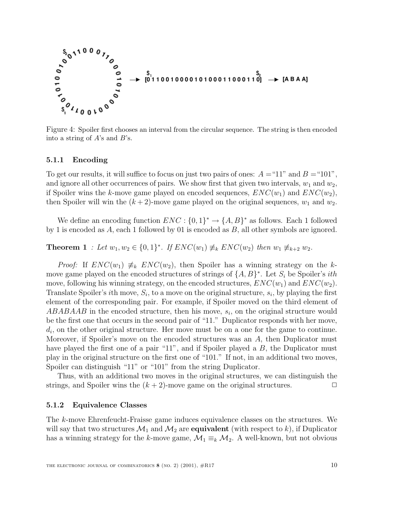

Figure 4: Spoiler first chooses an interval from the circular sequence. The string is then encoded into a string of  $A$ 's and  $B$ 's.

#### **5.1.1 Encoding**

To get our results, it will suffice to focus on just two pairs of ones:  $A = 11$ " and  $B = 101$ ", and ignore all other occurrences of pairs. We show first that given two intervals,  $w_1$  and  $w_2$ , if Spoiler wins the k-move game played on encoded sequences,  $ENC(w_1)$  and  $ENC(w_2)$ , then Spoiler will win the  $(k+2)$ -move game played on the original sequences,  $w_1$  and  $w_2$ .

We define an encoding function  $ENC: \{0,1\}^* \to \{A,B\}^*$  as follows. Each 1 followed by 1 is encoded as  $A$ , each 1 followed by 01 is encoded as  $B$ , all other symbols are ignored.

**Theorem 1** : Let  $w_1, w_2 \in \{0, 1\}^*$ . If  $ENC(w_1) \not\equiv_k ENC(w_2)$  then  $w_1 \not\equiv_{k+2} w_2$ .

*Proof:* If  $ENC(w_1) \neq_k ENC(w_2)$ , then Spoiler has a winning strategy on the kmove game played on the encoded structures of strings of  $\{A, B\}^*$ . Let  $S_i$  be Spoiler's *ith* move, following his winning strategy, on the encoded structures,  $ENC(w_1)$  and  $ENC(w_2)$ . Translate Spoiler's *i*th move,  $S_i$ , to a move on the original structure,  $s_i$ , by playing the first element of the corresponding pair. For example, if Spoiler moved on the third element of  $ABABAAB$  in the encoded structure, then his move,  $s_i$ , on the original structure would be the first one that occurs in the second pair of "11." Duplicator responds with her move,  $d_i$ , on the other original structure. Her move must be on a one for the game to continue. Moreover, if Spoiler's move on the encoded structures was an A, then Duplicator must have played the first one of a pair "11", and if Spoiler played a B, the Duplicator must play in the original structure on the first one of "101." If not, in an additional two moves, Spoiler can distinguish "11" or "101" from the string Duplicator.

Thus, with an additional two moves in the original structures, we can distinguish the strings, and Spoiler wins the  $(k + 2)$ -move game on the original structures.

#### **5.1.2 Equivalence Classes**

The k-move Ehrenfeucht-Fraisse game induces equivalence classes on the structures. We will say that two structures  $\mathcal{M}_1$  and  $\mathcal{M}_2$  are **equivalent** (with respect to k), if Duplicator has a winning strategy for the k-move game,  $\mathcal{M}_1 \equiv_k \mathcal{M}_2$ . A well-known, but not obvious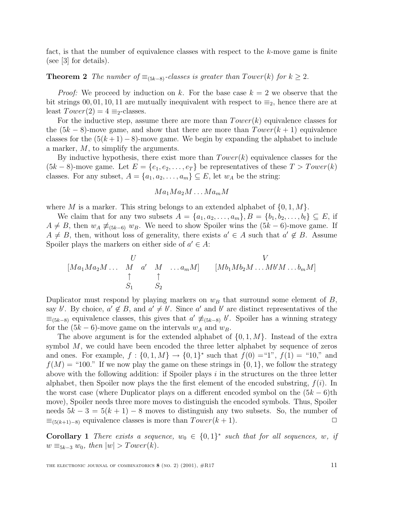fact, is that the number of equivalence classes with respect to the  $k$ -move game is finite (see [3] for details).

**Theorem 2** The number of  $\equiv_{(5k-8)}$ -classes is greater than  $Tower(k)$  for  $k \geq 2$ .

*Proof:* We proceed by induction on k. For the base case  $k = 2$  we observe that the bit strings 00, 01, 10, 11 are mutually inequivalent with respect to  $\equiv_2$ , hence there are at least  $Tower(2) = 4 \equiv_2$ -classes.

For the inductive step, assume there are more than  $Tower(k)$  equivalence classes for the  $(5k - 8)$ -move game, and show that there are more than  $Tower(k + 1)$  equivalence classes for the  $(5(k+1)-8)$ -move game. We begin by expanding the alphabet to include a marker, M, to simplify the arguments.

By inductive hypothesis, there exist more than  $Tower(k)$  equivalence classes for the  $(5k-8)$ -move game. Let  $E = \{e_1, e_2, \ldots, e_T\}$  be representatives of these  $T > Tower(k)$ classes. For any subset,  $A = \{a_1, a_2, \ldots, a_m\} \subseteq E$ , let  $w_A$  be the string:

$$
Ma_1Ma_2M\ldots Ma_mM
$$

where M is a marker. This string belongs to an extended alphabet of  $\{0, 1, M\}$ .

We claim that for any two subsets  $A = \{a_1, a_2, \ldots, a_m\}, B = \{b_1, b_2, \ldots, b_l\} \subseteq E$ , if  $A \neq B$ , then  $w_A \neq_{(5k-6)} w_B$ . We need to show Spoiler wins the  $(5k-6)$ -move game. If  $A \neq B$ , then, without loss of generality, there exists  $a' \in A$  such that  $a' \notin B$ . Assume Spoiler plays the markers on either side of  $a' \in A$ :

$$
[Ma_1 Ma_2 M \dots M \quad a' \quad M \quad \dots a_m M] \qquad [Mb_1 Mb_2 M \dots Mb'M \dots b_m M]
$$
  

$$
\uparrow \qquad \uparrow \qquad [Mb_1 Mb_2 M \dots Mb'M \dots b_m M]
$$
  

$$
S_1 \qquad S_2
$$

Duplicator must respond by playing markers on  $w_B$  that surround some element of B, say b'. By choice,  $a' \notin B$ , and  $a' \neq b'$ . Since a' and b' are distinct representatives of the  $\equiv_{(5k-8)}$  equivalence classes, this gives that  $a' \not\equiv_{(5k-8)} b'$ . Spoiler has a winning strategy for the  $(5k - 6)$ -move game on the intervals  $w_A$  and  $w_B$ .

The above argument is for the extended alphabet of  $\{0, 1, M\}$ . Instead of the extra symbol  $M$ , we could have been encoded the three letter alphabet by sequence of zeros and ones. For example,  $f : \{0, 1, M\} \to \{0, 1\}^*$  such that  $f(0) = "1", f(1) = "10,"$  and  $f(M) =$  "100." If we now play the game on these strings in  $\{0, 1\}$ , we follow the strategy above with the following addition: if Spoiler plays  $i$  in the structures on the three letter alphabet, then Spoiler now plays the the first element of the encoded substring,  $f(i)$ . In the worst case (where Duplicator plays on a different encoded symbol on the  $(5k - 6)$ th move), Spoiler needs three more moves to distinguish the encoded symbols. Thus, Spoiler needs  $5k - 3 = 5(k + 1) - 8$  moves to distinguish any two subsets. So, the number of  $\equiv_{(5(k+1)-8)}$  equivalence classes is more than  $Tower(k+1)$ .  $\Box$ 

**Corollary 1** There exists a sequence,  $w_0 \in \{0,1\}^*$  such that for all sequences, w, if  $w \equiv_{5k-3} w_0$ , then  $|w| > Tower(k)$ .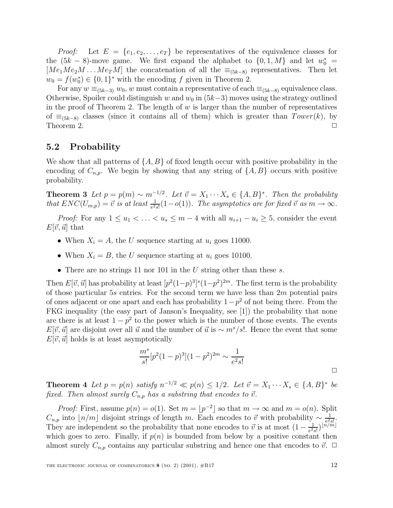*Proof:* Let  $E = \{e_1, e_2, \ldots, e_T\}$  be representatives of the equivalence classes for the  $(5k - 8)$ -move game. We first expand the alphabet to  $\{0, 1, M\}$  and let  $w_0^*$  $[Me<sub>1</sub>Me<sub>2</sub>M ... Me<sub>T</sub>M]$  the concatenation of all the  $\equiv_{(5k-8)}$  representatives. Then let  $w_0 = f(w_0^*) \in \{0,1\}^*$  with the encoding f given in Theorem 2.

For any  $w \equiv_{(5k-3)} w_0$ , w must contain a representative of each  $\equiv_{(5k-8)}$  equivalence class. Otherwise, Spoiler could distinguish w and  $w_0$  in  $(5k-3)$  moves using the strategy outlined in the proof of Theorem 2. The length of  $w$  is larger than the number of representatives of  $\equiv_{(5k-8)}$  classes (since it contains all of them) which is greater than  $Tower(k)$ , by Theorem 2. Theorem 2.  $\Box$ 

## **5.2 Probability**

We show that all patterns of  $\{A, B\}$  of fixed length occur with positive probability in the encoding of  $C_{n,p}$ . We begin by showing that any string of  $\{A, B\}$  occurs with positive probability.

**Theorem 3** Let  $p = p(m) \sim m^{-1/2}$ . Let  $\vec{v} = X_1 \cdots X_s \in \{A, B\}^*$ . Then the probability that  $ENC(U_{m,p}) = \vec{v}$  is at least  $\frac{1}{e^2s!}(1-o(1))$ . The asymptotics are for fixed  $\vec{v}$  as  $m \to \infty$ .

*Proof:* For any  $1 \le u_1 < \ldots < u_s \le m-4$  with all  $u_{i+1} - u_i \ge 5$ , consider the event  $E[\vec{v},\vec{u}]$  that

- When  $X_i = A$ , the U sequence starting at  $u_i$  goes 11000.
- When  $X_i = B$ , the U sequence starting at  $u_i$  goes 10100.
- There are no strings 11 nor 101 in the U string other than these  $s$ .

Then  $E[\vec{v}, \vec{u}]$  has probability at least  $[p^2(1-p)^3]^s(1-p^2)^{2m}$ . The first term is the probability of those particular 5s entries. For the second term we have less than  $2m$  potential pairs of ones adjacent or one apart and each has probability  $1-p^2$  of not being there. From the FKG inequality (the easy part of Janson's Inequality, see [1]) the probability that none are there is at least  $1 - p^2$  to the power which is the number of those events. The events E[ $\vec{v}, \vec{u}$ ] are disjoint over all  $\vec{u}$  and the number of  $\vec{u}$  is ∼ m<sup>s</sup>/s!. Hence the event that some  $E[\vec{v}, \vec{u}]$  holds is at least asymptotically

$$
\frac{m^s}{s!} [p^2 (1-p)^3] (1-p^2)^{2m} \sim \frac{1}{e^2 s!}
$$

**Theorem 4** Let  $p = p(n)$  satisfy  $n^{-1/2} \ll p(n) \leq 1/2$ . Let  $\vec{v} = X_1 \cdots X_s \in \{A, B\}^*$  be fixed. Then almost surely  $C_{n,p}$  has a substring that encodes to  $\vec{v}$ .

*Proof:* First, assume  $p(n) = o(1)$ . Set  $m = |p^{-2}|$  so that  $m \to \infty$  and  $m = o(n)$ . Split  $C_{n,p}$  into  $\lfloor n/m \rfloor$  disjoint strings of length m. Each encodes to  $\vec{v}$  with probability ∼  $\frac{1}{e^{2}/s!}$ . They are independent so the probability that none encodes to  $\vec{v}$  is at most  $(1 - \frac{1}{e^2 s!})^{\lfloor n/m \rfloor}$ which goes to zero. Finally, if  $p(n)$  is bounded from below by a positive constant then almost surely  $C_{n,p}$  contains any particular substring and hence one that encodes to  $\vec{v}$ .  $\Box$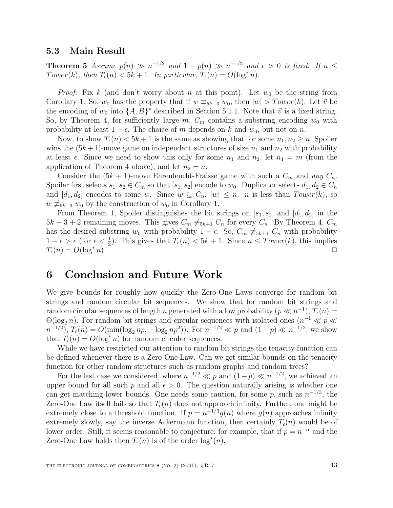### **5.3 Main Result**

**Theorem 5** Assume  $p(n) \gg n^{-1/2}$  and  $1 - p(n) \gg n^{-1/2}$  and  $\epsilon > 0$  is fixed. If  $n \leq$ Tower(k), then  $T_{\epsilon}(n) < 5k+1$ . In particular,  $T_{\epsilon}(n) = O(\log^* n)$ .

*Proof:* Fix k (and don't worry about n at this point). Let  $w_0$  be the string from Corollary 1. So,  $w_0$  has the property that if  $w \equiv_{5k-3} w_0$ , then  $|w| > Tower(k)$ . Let  $\vec{v}$  be the encoding of  $w_0$  into  $\{A, B\}^*$  described in Section 5.1.1. Note that  $\vec{v}$  is a fixed string. So, by Theorem 4, for sufficiently large m,  $C_m$  contains a substring encoding  $w_0$  with probability at least  $1 - \epsilon$ . The choice of m depends on k and  $w_0$ , but not on n.

Now, to show  $T_{\epsilon}(n) < 5k+1$  is the same as showing that for some  $n_1, n_2 \geq n$ , Spoiler wins the  $(5k+1)$ -move game on independent structures of size  $n_1$  and  $n_2$  with probability at least  $\epsilon$ . Since we need to show this only for some  $n_1$  and  $n_2$ , let  $n_1 = m$  (from the application of Theorem 4 above), and let  $n_2 = n$ .

Consider the  $(5k + 1)$ -move Ehrenfeucht-Fraisse game with such a  $C_m$  and any  $C_n$ . Spoiler first selects  $s_1, s_2 \in C_m$  so that  $[s_1, s_2]$  encode to  $w_0$ . Duplicator selects  $d_1, d_2 \in C_n$ and  $[d_1, d_2]$  encodes to some w. Since  $w \subseteq C_n$ ,  $|w| \leq n$ . *n* is less than  $Tower(k)$ , so  $w \neq_{5k-3} w_0$  by the construction of  $w_0$  in Corollary 1.

From Theorem 1, Spoiler distinguishes the bit strings on  $[s_1, s_2]$  and  $[d_1, d_2]$  in the  $5k-3+2$  remaining moves. This gives  $C_m \not\equiv_{5k+1} C_n$  for every  $C_n$ . By Theorem 4,  $C_m$ has the desired substring w<sub>0</sub> with probability  $1 - \epsilon$ . So,  $C_m \neq_{5k+1} C_n$  with probability  $1 - \epsilon > \epsilon$  (for  $\epsilon < \frac{1}{2}$ ). This gives that  $T_{\epsilon}(n) < 5k + 1$ . Since  $n \leq \textit{Lower}(k)$ , this implies  $T_{\epsilon}(n) = O(\log^* n).$ 

# **6 Conclusion and Future Work**

We give bounds for roughly how quickly the Zero-One Laws converge for random bit strings and random circular bit sequences. We show that for random bit strings and random circular sequences of length n generated with a low probability ( $p \ll n^{-1}$ ),  $T_{\epsilon}(n) =$  $\Theta(\log_2 n)$ . For random bit strings and circular sequences with isolated ones  $(n^{-1} \ll p \ll p)$  $n^{-1/2}$ ,  $T_{\epsilon}(n) = O(\min(\log_2 np, -\log_2 np^2))$ . For  $n^{-1/2} \ll p$  and  $(1-p) \ll n^{-1/2}$ , we show that  $T_{\epsilon}(n) = O(\log^* n)$  for random circular sequences.

While we have restricted our attention to random bit strings the tenacity function can be defined whenever there is a Zero-One Law. Can we get similar bounds on the tenacity function for other random structures such as random graphs and random trees?

For the last case we considered, where  $n^{-1/2} \ll p$  and  $(1-p) \ll n^{-1/2}$ , we achieved an upper bound for all such p and all  $\epsilon > 0$ . The question naturally arising is whether one can get matching lower bounds. One needs some caution, for some p, such as  $n^{-1/3}$ , the Zero-One Law itself fails so that  $T_{\epsilon}(n)$  does not approach infinity. Further, one might be extremely close to a threshold function. If  $p = n^{-1/3}q(n)$  where  $q(n)$  approaches infinity extremely slowly, say the inverse Ackermann function, then certainly  $T_{\epsilon}(n)$  would be of lower order. Still, it seems reasonable to conjecture, for example, that if  $p = n^{-\alpha}$  and the Zero-One Law holds then  $T_{\epsilon}(n)$  is of the order  $\log^*(n)$ .